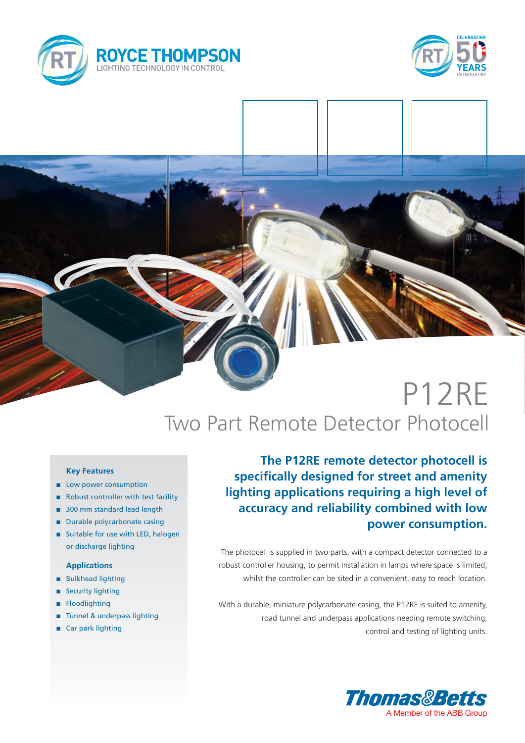



# P12RE Two Part Remote Detector Photocell

### **Key Features**

- **n** Low power consumption
- Robust controller with test facility
- 300 mm standard lead length
- **n** Durable polycarbonate casing
- Suitable for use with LED, halogen or discharge lighting

### **Applications**

- **n** Bulkhead lighting
- **n** Security lighting
- **n** Floodlighting
- Tunnel & underpass lighting
- Car park lighting

**The P12RE remote detector photocell is specifically designed for street and amenity lighting applications requiring a high level of accuracy and reliability combined with low power consumption.**

The photocell is supplied in two parts, with a compact detector connected to a robust controller housing, to permit installation in lamps where space is limited, whilst the controller can be sited in a convenient, easy to reach location.

With a durable, miniature polycarbonate casing, the P12RE is suited to amenity, road tunnel and underpass applications needing remote switching, control and testing of lighting units.